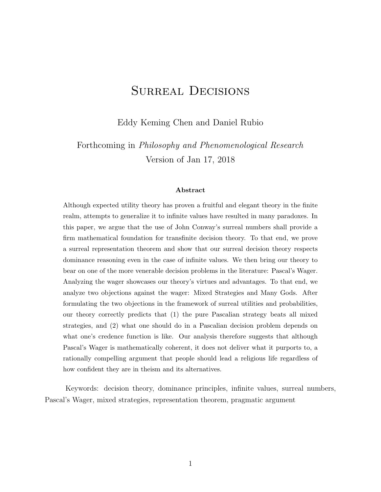# <span id="page-0-0"></span>Surreal Decisions

Eddy Keming Chen and Daniel Rubio

Forthcoming in Philosophy and Phenomenological Research Version of Jan 17, 2018

#### Abstract

Although expected utility theory has proven a fruitful and elegant theory in the finite realm, attempts to generalize it to infinite values have resulted in many paradoxes. In this paper, we argue that the use of John Conway's surreal numbers shall provide a firm mathematical foundation for transfinite decision theory. To that end, we prove a surreal representation theorem and show that our surreal decision theory respects dominance reasoning even in the case of infinite values. We then bring our theory to bear on one of the more venerable decision problems in the literature: Pascal's Wager. Analyzing the wager showcases our theory's virtues and advantages. To that end, we analyze two objections against the wager: Mixed Strategies and Many Gods. After formulating the two objections in the framework of surreal utilities and probabilities, our theory correctly predicts that (1) the pure Pascalian strategy beats all mixed strategies, and (2) what one should do in a Pascalian decision problem depends on what one's credence function is like. Our analysis therefore suggests that although Pascal's Wager is mathematically coherent, it does not deliver what it purports to, a rationally compelling argument that people should lead a religious life regardless of how confident they are in theism and its alternatives.

Keywords: decision theory, dominance principles, infinite values, surreal numbers, Pascal's Wager, mixed strategies, representation theorem, pragmatic argument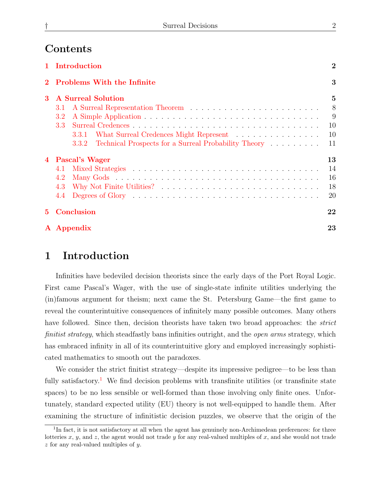# Contents

|                | 1 Introduction                                                | $\overline{2}$ |  |  |  |  |  |
|----------------|---------------------------------------------------------------|----------------|--|--|--|--|--|
|                | <b>Problems With the Infinite</b>                             | 3              |  |  |  |  |  |
| 3              | <b>A Surreal Solution</b>                                     |                |  |  |  |  |  |
|                | 3.1<br>3.2                                                    | 8<br>9         |  |  |  |  |  |
|                | 3.3                                                           | 10             |  |  |  |  |  |
|                | 3.3.1 What Surreal Credences Might Represent                  | 10             |  |  |  |  |  |
|                | Technical Prospects for a Surreal Probability Theory<br>3.3.2 | 11             |  |  |  |  |  |
| $\overline{4}$ | Pascal's Wager                                                | 13             |  |  |  |  |  |
|                | 4.1                                                           | 14             |  |  |  |  |  |
|                | 4.2                                                           | 16             |  |  |  |  |  |
|                | 4.3                                                           | 18             |  |  |  |  |  |
|                | 4.4                                                           | 20             |  |  |  |  |  |
| $5^{\circ}$    | Conclusion                                                    | 22             |  |  |  |  |  |
|                | A Appendix                                                    | 23             |  |  |  |  |  |

# <span id="page-1-0"></span>1 Introduction

Infinities have bedeviled decision theorists since the early days of the Port Royal Logic. First came Pascal's Wager, with the use of single-state infinite utilities underlying the (in)famous argument for theism; next came the St. Petersburg Game—the first game to reveal the counterintuitive consequences of infinitely many possible outcomes. Many others have followed. Since then, decision theorists have taken two broad approaches: the *strict* finitist strategy, which steadfastly bans infinities outright, and the *open arms* strategy, which has embraced infinity in all of its counterintuitive glory and employed increasingly sophisticated mathematics to smooth out the paradoxes.

We consider the strict finitist strategy—despite its impressive pedigree—to be less than fully satisfactory.<sup>[1](#page-0-0)</sup> We find decision problems with transfinite utilities (or transfinite state spaces) to be no less sensible or well-formed than those involving only finite ones. Unfortunately, standard expected utility (EU) theory is not well-equipped to handle them. After examining the structure of infinitistic decision puzzles, we observe that the origin of the

<sup>&</sup>lt;sup>1</sup>In fact, it is not satisfactory at all when the agent has genuinely non-Archimedean preferences: for three lotteries x, y, and z, the agent would not trade y for any real-valued multiples of x, and she would not trade  $z$  for any real-valued multiples of  $y$ .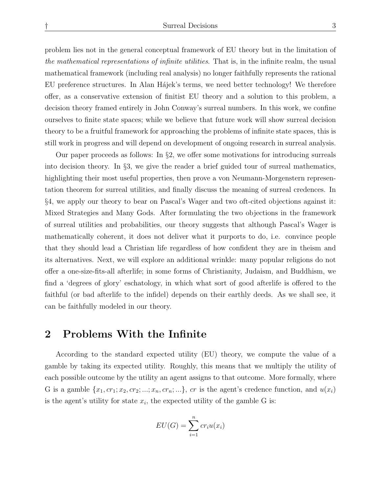problem lies not in the general conceptual framework of EU theory but in the limitation of the mathematical representations of infinite utilities. That is, in the infinite realm, the usual mathematical framework (including real analysis) no longer faithfully represents the rational EU preference structures. In Alan Hajek's terms, we need better technology! We therefore offer, as a conservative extension of finitist EU theory and a solution to this problem, a decision theory framed entirely in John Conway's surreal numbers. In this work, we confine ourselves to finite state spaces; while we believe that future work will show surreal decision theory to be a fruitful framework for approaching the problems of infinite state spaces, this is still work in progress and will depend on development of ongoing research in surreal analysis.

Our paper proceeds as follows: In  $\S2$ , we offer some motivations for introducing surreals into decision theory. In §3, we give the reader a brief guided tour of surreal mathematics, highlighting their most useful properties, then prove a von Neumann-Morgenstern representation theorem for surreal utilities, and finally discuss the meaning of surreal credences. In §4, we apply our theory to bear on Pascal's Wager and two oft-cited objections against it: Mixed Strategies and Many Gods. After formulating the two objections in the framework of surreal utilities and probabilities, our theory suggests that although Pascal's Wager is mathematically coherent, it does not deliver what it purports to do, i.e. convince people that they should lead a Christian life regardless of how confident they are in theism and its alternatives. Next, we will explore an additional wrinkle: many popular religions do not offer a one-size-fits-all afterlife; in some forms of Christianity, Judaism, and Buddhism, we find a 'degrees of glory' eschatology, in which what sort of good afterlife is offered to the faithful (or bad afterlife to the infidel) depends on their earthly deeds. As we shall see, it can be faithfully modeled in our theory.

### <span id="page-2-0"></span>2 Problems With the Infinite

According to the standard expected utility (EU) theory, we compute the value of a gamble by taking its expected utility. Roughly, this means that we multiply the utility of each possible outcome by the utility an agent assigns to that outcome. More formally, where G is a gamble  $\{x_1, cr_1; x_2, cr_2; ...; x_n, cr_n; ... \}$ , cr is the agent's credence function, and  $u(x_i)$ is the agent's utility for state  $x_i$ , the expected utility of the gamble G is:

$$
EU(G) = \sum_{i=1}^{n} cr_i u(x_i)
$$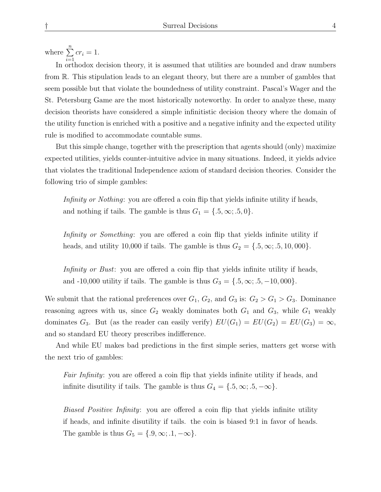where  $\sum_{n=1}^{\infty}$  $\frac{i=1}{i}$  $cr_i = 1.$ 

In orthodox decision theory, it is assumed that utilities are bounded and draw numbers from R. This stipulation leads to an elegant theory, but there are a number of gambles that seem possible but that violate the boundedness of utility constraint. Pascal's Wager and the St. Petersburg Game are the most historically noteworthy. In order to analyze these, many decision theorists have considered a simple infinitistic decision theory where the domain of the utility function is enriched with a positive and a negative infinity and the expected utility rule is modified to accommodate countable sums.

But this simple change, together with the prescription that agents should (only) maximize expected utilities, yields counter-intuitive advice in many situations. Indeed, it yields advice that violates the traditional Independence axiom of standard decision theories. Consider the following trio of simple gambles:

Infinity or Nothing: you are offered a coin flip that yields infinite utility if heads, and nothing if tails. The gamble is thus  $G_1 = \{.5, \infty, .5, 0\}.$ 

Infinity or Something: you are offered a coin flip that yields infinite utility if heads, and utility 10,000 if tails. The gamble is thus  $G_2 = \{.5, \infty, .5, 10, 000\}.$ 

Infinity or Bust: you are offered a coin flip that yields infinite utility if heads, and -10,000 utility if tails. The gamble is thus  $G_3 = \{.5, \infty, .5, -10, 000\}.$ 

We submit that the rational preferences over  $G_1, G_2$ , and  $G_3$  is:  $G_2 > G_1 > G_3$ . Dominance reasoning agrees with us, since  $G_2$  weakly dominates both  $G_1$  and  $G_3$ , while  $G_1$  weakly dominates  $G_3$ . But (as the reader can easily verify)  $EU(G_1) = EU(G_2) = EU(G_3) = \infty$ , and so standard EU theory prescribes indifference.

And while EU makes bad predictions in the first simple series, matters get worse with the next trio of gambles:

Fair Infinity: you are offered a coin flip that yields infinite utility if heads, and infinite disutility if tails. The gamble is thus  $G_4 = \{.5, \infty, .5, -\infty\}.$ 

Biased Positive Infinity: you are offered a coin flip that yields infinite utility if heads, and infinite disutility if tails. the coin is biased 9:1 in favor of heads. The gamble is thus  $G_5 = \{.9, \infty, .1, -\infty\}.$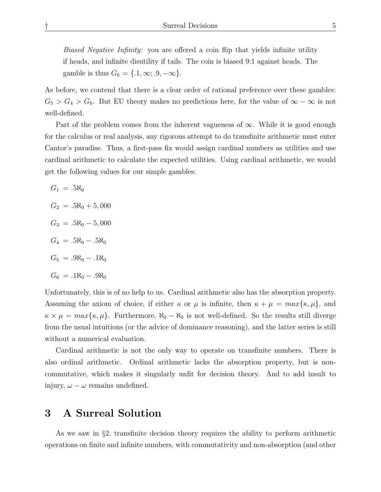Biased Negative Infinity: you are offered a coin flip that yields infinite utility if heads, and infinite disutility if tails. The coin is biased 9:1 against heads. The gamble is thus  $G_6 = \{.1, \infty, .9, -\infty\}.$ 

As before, we contend that there is a clear order of rational preference over these gambles:  $G_5 > G_4 > G_6$ . But EU theory makes no predictions here, for the value of  $\infty - \infty$  is not well-defined.

Part of the problem comes from the inherent vagueness of  $\infty$ . While it is good enough for the calculus or real analysis, any rigorous attempt to do transfinite arithmetic must enter Cantor's paradise. Thus, a first-pass fix would assign cardinal numbers as utilities and use cardinal arithmetic to calculate the expected utilities. Using cardinal arithmetic, we would get the following values for our simple gambles:

 $G_1 = .5\aleph_0$ 

- $G_2 = .5\aleph_0 + 5,000$
- $G_3 = .5\aleph_0 5,000$
- $G_4 = .5\aleph_0 .5\aleph_0$

$$
G_5 = .9\aleph_0 - .1\aleph_0
$$

$$
G_6 = .1\aleph_0 - .9\aleph_0
$$

Unfortunately, this is of no help to us. Cardinal arithmetic also has the absorption property. Assuming the axiom of choice, if either  $\kappa$  or  $\mu$  is infinite, then  $\kappa + \mu = \max{\kappa, \mu}$ , and  $\kappa \times \mu = \max{\kappa, \mu}$ . Furthermore,  $\aleph_0 - \aleph_0$  is not well-defined. So the results still diverge from the usual intuitions (or the advice of dominance reasoning), and the latter series is still without a numerical evaluation.

Cardinal arithmetic is not the only way to operate on transfinite numbers. There is also ordinal arithmetic. Ordinal arithmetic lacks the absorption property, but is noncommutative, which makes it singularly unfit for decision theory. And to add insult to injury,  $\omega - \omega$  remains undefined.

# <span id="page-4-0"></span>3 A Surreal Solution

As we saw in §2, transfinite decision theory requires the ability to perform arithmetic operations on finite and infinite numbers, with commutativity and non-absorption (and other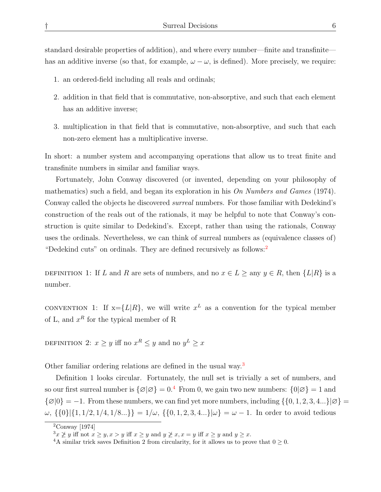standard desirable properties of addition), and where every number—finite and transfinite has an additive inverse (so that, for example,  $\omega - \omega$ , is defined). More precisely, we require:

- 1. an ordered-field including all reals and ordinals;
- 2. addition in that field that is commutative, non-absorptive, and such that each element has an additive inverse;
- 3. multiplication in that field that is commutative, non-absorptive, and such that each non-zero element has a multiplicative inverse.

In short: a number system and accompanying operations that allow us to treat finite and transfinite numbers in similar and familiar ways.

Fortunately, John Conway discovered (or invented, depending on your philosophy of mathematics) such a field, and began its exploration in his  $On\ Numbers\ and\ Games$  (1974). Conway called the objects he discovered surreal numbers. For those familiar with Dedekind's construction of the reals out of the rationals, it may be helpful to note that Conway's construction is quite similar to Dedekind's. Except, rather than using the rationals, Conway uses the ordinals. Nevertheless, we can think of surreal numbers as (equivalence classes of) "Dedekind cuts" on ordinals. They are defined recursively as follows:[2](#page-0-0)

DEFINITION 1: If L and R are sets of numbers, and no  $x \in L \ge \text{any } y \in R$ , then  $\{L|R\}$  is a number.

CONVENTION 1: If  $x = \{L|R\}$ , we will write  $x^L$  as a convention for the typical member of L, and  $x^R$  for the typical member of R

DEFINITION 2:  $x \geq y$  iff no  $x^R \leq y$  and no  $y^L \geq x$ 

Other familiar ordering relations are defined in the usual way.[3](#page-0-0)

Definition 1 looks circular. Fortunately, the null set is trivially a set of numbers, and so our first surreal number is  $\{\emptyset | \emptyset \} = 0^{4}$  $\{\emptyset | \emptyset \} = 0^{4}$  $\{\emptyset | \emptyset \} = 0^{4}$  From 0, we gain two new numbers:  $\{0 | \emptyset \} = 1$  and  $\{\emptyset | 0\} = -1$ . From these numbers, we can find yet more numbers, including  $\{\{0, 1, 2, 3, 4...\}|\emptyset\}$  $\omega$ ,  $\{\{0\}|\{1, 1/2, 1/4, 1/8...\}\}=1/\omega$ ,  $\{\{0, 1, 2, 3, 4...\}\omega\}=\omega-1$ . In order to avoid tedious

<sup>2</sup>Conway [1974]

 $x^3x \not\geq y$  iff not  $x \geq y, x > y$  iff  $x \geq y$  and  $y \not\geq x, x = y$  iff  $x \geq y$  and  $y \geq x$ .

<sup>&</sup>lt;sup>4</sup>A similar trick saves Definition 2 from circularity, for it allows us to prove that  $0 \ge 0$ .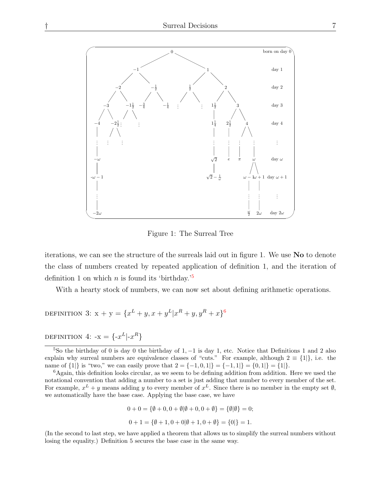

Figure 1: The Surreal Tree

iterations, we can see the structure of the surreals laid out in figure 1. We use No to denote the class of numbers created by repeated application of definition 1, and the iteration of definition 1 on which *n* is found its 'birthday.'<sup>[5](#page-0-0)</sup>

With a hearty stock of numbers, we can now set about defining arithmetic operations.

DEFINITION 3:  $x + y = \{x^L + y, x + y^L | x^R + y, y^R + x\}^6$  $x + y = \{x^L + y, x + y^L | x^R + y, y^R + x\}^6$ 

DEFINITION 4:  $-x = \{-x^L | -x^R\}$ 

 $0 + 0 = {\emptyset + 0, 0 + \emptyset | \emptyset + 0, 0 + \emptyset} = {\emptyset | \emptyset} = 0;$  $0 + 1 = {\emptyset + 1, 0 + 0 | \emptyset + 1, 0 + \emptyset} = {0}$ 

(In the second to last step, we have applied a theorem that allows us to simplify the surreal numbers without losing the equality.) Definition 5 secures the base case in the same way.

<sup>&</sup>lt;sup>5</sup>So the birthday of 0 is day 0 the birthday of 1,  $-1$  is day 1, etc. Notice that Definitions 1 and 2 also explain why surreal numbers are equivalence classes of "cuts." For example, although  $2 \equiv \{1\}$ , i.e. the name of  $\{1\}$  is "two," we can easily prove that  $2 = \{-1, 0, 1\} = \{-1, 1\} = \{0, 1\} = \{1\}$ .

 $6$ Again, this definition looks circular, as we seem to be defining addition from addition. Here we used the notational convention that adding a number to a set is just adding that number to every member of the set. For example,  $x^L + y$  means adding y to every member of  $x^L$ . Since there is no member in the empty set  $\emptyset$ , we automatically have the base case. Applying the base case, we have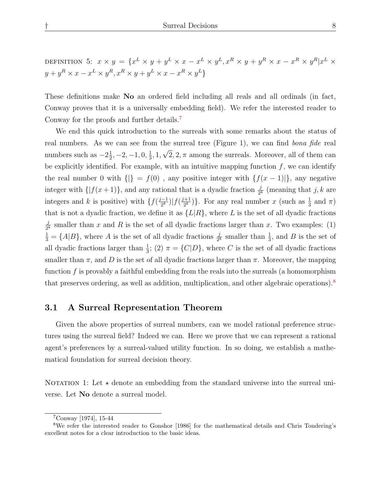DEFINITION 5:  $x \times y = \{x^L \times y + y^L \times x - x^L \times y^L, x^R \times y + y^R \times x - x^R \times y^R | x^L \times y^R \}$  $y + y^R \times x - x^L \times y^R, x^R \times y + y^L \times x - x^R \times y^L$ 

These definitions make No an ordered field including all reals and all ordinals (in fact, Conway proves that it is a universally embedding field). We refer the interested reader to Conway for the proofs and further details.<sup>[7](#page-0-0)</sup>

We end this quick introduction to the surreals with some remarks about the status of real numbers. As we can see from the surreal tree (Figure 1), we can find bona fide real numbers such as  $-2\frac{1}{2}$  $\frac{1}{2}, -2, -1, 0, \frac{1}{3}$  $\frac{1}{3}$ , 1,  $\sqrt{2}$ , 2,  $\pi$  among the surreals. Moreover, all of them can be explicitly identified. For example, with an intuitive mapping function  $f$ , we can identify the real number 0 with  $\{|\} = f(0)$ , any positive integer with  $\{f(x-1)|\}$ , any negative integer with  $\{|f(x+1)\}\$ , and any rational that is a dyadic fraction  $\frac{j}{2^k}$  (meaning that j, k are integers and k is positive) with  $\{f(\frac{j-1}{2^k})\}$  $\frac{-1}{2^k}$ )| $f(\frac{j+1}{2^k})$  $\left\{\frac{+1}{2^k}\right\}$ . For any real number x (such as  $\frac{1}{3}$  and  $\pi$ ) that is not a dyadic fraction, we define it as  $\{L|R\}$ , where L is the set of all dyadic fractions j  $\frac{j}{2^k}$  smaller than x and R is the set of all dyadic fractions larger than x. Two examples: (1)  $\frac{1}{3} = \{A|B\}$ , where A is the set of all dyadic fractions  $\frac{j}{2^k}$  smaller than  $\frac{1}{3}$ , and B is the set of all dyadic fractions larger than  $\frac{1}{3}$ ; (2)  $\pi = \{C|D\}$ , where C is the set of all dyadic fractions smaller than  $\pi$ , and D is the set of all dyadic fractions larger than  $\pi$ . Moreover, the mapping function f is provably a faithful embedding from the reals into the surreals (a homomorphism that preserves ordering, as well as addition, multiplication, and other algebraic operations).[8](#page-0-0)

### <span id="page-7-0"></span>3.1 A Surreal Representation Theorem

Given the above properties of surreal numbers, can we model rational preference structures using the surreal field? Indeed we can. Here we prove that we can represent a rational agent's preferences by a surreal-valued utility function. In so doing, we establish a mathematical foundation for surreal decision theory.

NOTATION 1: Let  $\star$  denote an embedding from the standard universe into the surreal universe. Let No denote a surreal model.

<sup>7</sup>Conway [1974], 15-44

<sup>8</sup>We refer the interested reader to Gonshor [1986] for the mathematical details and Chris Tondering's excellent notes for a clear introduction to the basic ideas.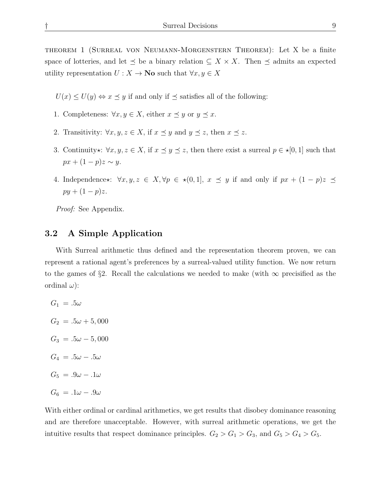theorem 1 (Surreal von Neumann-Morgenstern Theorem): Let X be a finite space of lotteries, and let  $\preceq$  be a binary relation  $\subseteq X \times X$ . Then  $\preceq$  admits an expected utility representation  $U : X \to \mathbb{N}$ o such that  $\forall x, y \in X$ 

 $U(x) \le U(y) \Leftrightarrow x \preceq y$  if and only if  $\preceq$  satisfies all of the following:

- 1. Completeness:  $\forall x, y \in X$ , either  $x \preceq y$  or  $y \preceq x$ .
- 2. Transitivity:  $\forall x, y, z \in X$ , if  $x \preceq y$  and  $y \preceq z$ , then  $x \preceq z$ .
- 3. Continuity $\star: \forall x, y, z \in X$ , if  $x \leq y \leq z$ , then there exist a surreal  $p \in \star [0, 1]$  such that  $px + (1 - p)z \sim y.$
- 4. Independence\*:  $\forall x, y, z \in X, \forall p \in \star (0,1], x \preceq y$  if and only if  $px + (1 p)z \preceq z$  $py + (1 - p)z$ .

Proof: See Appendix.

### <span id="page-8-0"></span>3.2 A Simple Application

With Surreal arithmetic thus defined and the representation theorem proven, we can represent a rational agent's preferences by a surreal-valued utility function. We now return to the games of §2. Recall the calculations we needed to make (with  $\infty$  precisified as the ordinal  $\omega$ :

 $G_1 = .5\omega$  $G_2 = .5\omega + 5,000$  $G_3 = .5\omega - 5,000$  $G_4 = .5\omega - .5\omega$  $G_5 = .9\omega - .1\omega$  $G_6 = .1\omega - .9\omega$ 

With either ordinal or cardinal arithmetics, we get results that disobey dominance reasoning and are therefore unacceptable. However, with surreal arithmetic operations, we get the intuitive results that respect dominance principles.  $G_2 > G_1 > G_3$ , and  $G_5 > G_4 > G_5$ .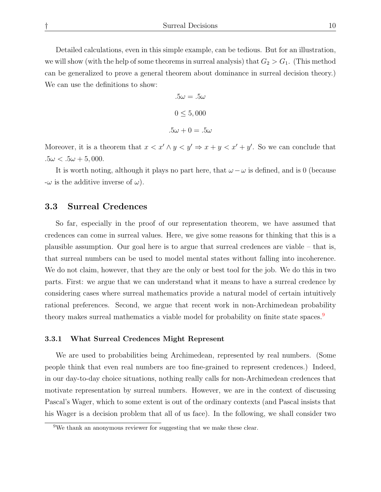Detailed calculations, even in this simple example, can be tedious. But for an illustration, we will show (with the help of some theorems in surreal analysis) that  $G_2 > G_1$ . (This method can be generalized to prove a general theorem about dominance in surreal decision theory.) We can use the definitions to show:

$$
.5\omega = .5\omega
$$

$$
0 \le 5,000
$$

$$
.5\omega + 0 = .5\omega
$$

Moreover, it is a theorem that  $x < x' \wedge y < y' \Rightarrow x + y < x' + y'$ . So we can conclude that  $.5\omega < .5\omega + 5,000.$ 

It is worth noting, although it plays no part here, that  $\omega - \omega$  is defined, and is 0 (because  $-\omega$  is the additive inverse of  $\omega$ ).

### <span id="page-9-0"></span>3.3 Surreal Credences

So far, especially in the proof of our representation theorem, we have assumed that credences can come in surreal values. Here, we give some reasons for thinking that this is a plausible assumption. Our goal here is to argue that surreal credences are viable – that is, that surreal numbers can be used to model mental states without falling into incoherence. We do not claim, however, that they are the only or best tool for the job. We do this in two parts. First: we argue that we can understand what it means to have a surreal credence by considering cases where surreal mathematics provide a natural model of certain intuitively rational preferences. Second, we argue that recent work in non-Archimedean probability theory makes surreal mathematics a viable model for probability on finite state spaces.<sup>[9](#page-0-0)</sup>

#### <span id="page-9-1"></span>3.3.1 What Surreal Credences Might Represent

We are used to probabilities being Archimedean, represented by real numbers. (Some people think that even real numbers are too fine-grained to represent credences.) Indeed, in our day-to-day choice situations, nothing really calls for non-Archimedean credences that motivate representation by surreal numbers. However, we are in the context of discussing Pascal's Wager, which to some extent is out of the ordinary contexts (and Pascal insists that his Wager is a decision problem that all of us face). In the following, we shall consider two

<sup>9</sup>We thank an anonymous reviewer for suggesting that we make these clear.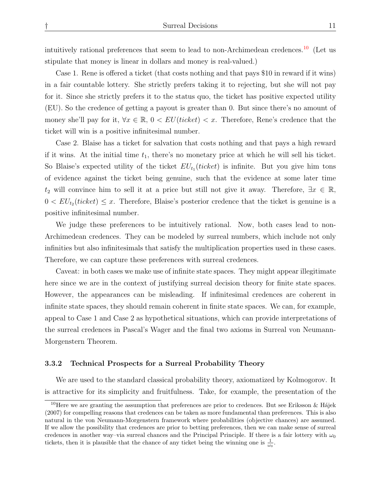intuitively rational preferences that seem to lead to non-Archimedean credences.<sup>[10](#page-0-0)</sup> (Let us stipulate that money is linear in dollars and money is real-valued.)

Case 1. Rene is offered a ticket (that costs nothing and that pays \$10 in reward if it wins) in a fair countable lottery. She strictly prefers taking it to rejecting, but she will not pay for it. Since she strictly prefers it to the status quo, the ticket has positive expected utility (EU). So the credence of getting a payout is greater than 0. But since there's no amount of money she'll pay for it,  $\forall x \in \mathbb{R}$ ,  $0 \lt EU(ticket) \lt x$ . Therefore, Rene's credence that the ticket will win is a positive infinitesimal number.

Case 2. Blaise has a ticket for salvation that costs nothing and that pays a high reward if it wins. At the initial time  $t_1$ , there's no monetary price at which he will sell his ticket. So Blaise's expected utility of the ticket  $EU_{t_1}(ticket)$  is infinite. But you give him tons of evidence against the ticket being genuine, such that the evidence at some later time  $t_2$  will convince him to sell it at a price but still not give it away. Therefore,  $\exists x \in \mathbb{R}$ ,  $0 < EU_{t_2}(ticket) \leq x$ . Therefore, Blaise's posterior credence that the ticket is genuine is a positive infinitesimal number.

We judge these preferences to be intuitively rational. Now, both cases lead to non-Archimedean credences. They can be modeled by surreal numbers, which include not only infinities but also infinitesimals that satisfy the multiplication properties used in these cases. Therefore, we can capture these preferences with surreal credences.

Caveat: in both cases we make use of infinite state spaces. They might appear illegitimate here since we are in the context of justifying surreal decision theory for finite state spaces. However, the appearances can be misleading. If infinitesimal credences are coherent in infinite state spaces, they should remain coherent in finite state spaces. We can, for example, appeal to Case 1 and Case 2 as hypothetical situations, which can provide interpretations of the surreal credences in Pascal's Wager and the final two axioms in Surreal von Neumann-Morgenstern Theorem.

#### <span id="page-10-0"></span>3.3.2 Technical Prospects for a Surreal Probability Theory

We are used to the standard classical probability theory, axiomatized by Kolmogorov. It is attractive for its simplicity and fruitfulness. Take, for example, the presentation of the

<sup>&</sup>lt;sup>10</sup>Here we are granting the assumption that preferences are prior to credences. But see Eriksson & Hájek (2007) for compelling reasons that credences can be taken as more fundamental than preferences. This is also natural in the von Neumann-Morgenstern framework where probabilities (objective chances) are assumed. If we allow the possibility that credences are prior to betting preferences, then we can make sense of surreal credences in another way–via surreal chances and the Principal Principle. If there is a fair lottery with  $\omega_0$ tickets, then it is plausible that the chance of any ticket being the winning one is  $\frac{1}{\omega_0}$ .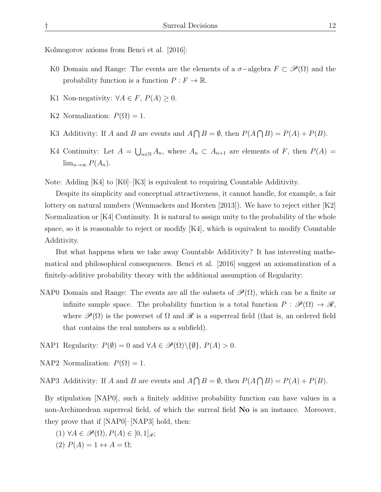Kolmogorov axioms from Benci et al. [2016]:

- K0 Domain and Range: The events are the elements of a  $\sigma$ -algebra  $F \subset \mathscr{P}(\Omega)$  and the probability function is a function  $P : F \to \mathbb{R}$ .
- K1 Non-negativity:  $\forall A \in F, P(A) \geq 0$ .
- K2 Normalization:  $P(\Omega) = 1$ .
- K3 Additivity: If A and B are events and  $A \cap B = \emptyset$ , then  $P(A \cap B) = P(A) + P(B)$ .
- K4 Continuity: Let  $A = \bigcup_{n \in \mathbb{N}} A_n$ , where  $A_n \subset A_{n+1}$  are elements of F, then  $P(A) =$  $\lim_{n\to\infty} P(A_n)$ .

Note: Adding [K4] to [K0]–[K3] is equivalent to requiring Countable Additivity.

Despite its simplicity and conceptual attractiveness, it cannot handle, for example, a fair lottery on natural numbers (Wenmackers and Horsten [2013]). We have to reject either [K2] Normalization or [K4] Continuity. It is natural to assign unity to the probability of the whole space, so it is reasonable to reject or modify  $[K4]$ , which is equivalent to modify Countable Additivity.

But what happens when we take away Countable Additivity? It has interesting mathematical and philosophical consequences. Benci et al. [2016] suggest an axiomatization of a finitely-additive probability theory with the additional assumption of Regularity:

- NAP0 Domain and Range: The events are all the subsets of  $\mathscr{P}(\Omega)$ , which can be a finite or infinite sample space. The probability function is a total function  $P : \mathscr{P}(\Omega) \to \mathscr{R}$ , where  $\mathscr{P}(\Omega)$  is the powerset of  $\Omega$  and  $\mathscr R$  is a superreal field (that is, an ordered field that contains the real numbers as a subfield).
- NAP1 Regularity:  $P(\emptyset) = 0$  and  $\forall A \in \mathscr{P}(\Omega) \setminus \{\emptyset\}, P(A) > 0$ .
- NAP2 Normalization:  $P(\Omega) = 1$ .

NAP3 Additivity: If A and B are events and  $A \cap B = \emptyset$ , then  $P(A \cap B) = P(A) + P(B)$ .

By stipulation [NAP0], such a finitely additive probability function can have values in a non-Archimedean superreal field, of which the surreal field No is an instance. Moreover, they prove that if [NAP0]–[NAP3] hold, then:

- $(1) \ \forall A \in \mathscr{P}(\Omega), P(A) \in [0,1]_{\mathscr{R}};$
- (2)  $P(A) = 1 \leftrightarrow A = \Omega$ ;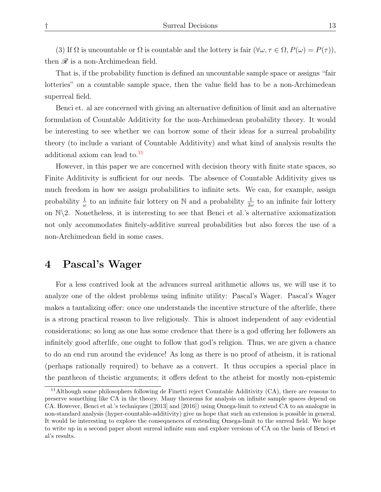(3) If  $\Omega$  is uncountable or  $\Omega$  is countable and the lottery is fair  $(\forall \omega, \tau \in \Omega, P(\omega) = P(\tau)),$ then  $\mathscr R$  is a non-Archimedean field.

That is, if the probability function is defined an uncountable sample space or assigns "fair lotteries" on a countable sample space, then the value field has to be a non-Archimedean superreal field.

Benci et. al are concerned with giving an alternative definition of limit and an alternative formulation of Countable Additivity for the non-Archimedean probability theory. It would be interesting to see whether we can borrow some of their ideas for a surreal probability theory (to include a variant of Countable Additivity) and what kind of analysis results the additional axiom can lead to.<sup>[11](#page-0-0)</sup>

However, in this paper we are concerned with decision theory with finite state spaces, so Finite Additivity is sufficient for our needs. The absence of Countable Additivity gives us much freedom in how we assign probabilities to infinite sets. We can, for example, assign probability  $\frac{1}{\omega}$  to an infinite fair lottery on N and a probability  $\frac{1}{2\omega}$  to an infinite fair lottery on  $\mathbb{N}\setminus 2$ . Nonetheless, it is interesting to see that Benci et al.'s alternative axiomatization not only accommodates finitely-additive surreal probabilities but also forces the use of a non-Archimedean field in some cases.

# <span id="page-12-0"></span>4 Pascal's Wager

For a less contrived look at the advances surreal arithmetic allows us, we will use it to analyze one of the oldest problems using infinite utility: Pascal's Wager. Pascal's Wager makes a tantalizing offer: once one understands the incentive structure of the afterlife, there is a strong practical reason to live religiously. This is almost independent of any evidential considerations; so long as one has some credence that there is a god offering her followers an infinitely good afterlife, one ought to follow that god's religion. Thus, we are given a chance to do an end run around the evidence! As long as there is no proof of atheism, it is rational (perhaps rationally required) to behave as a convert. It thus occupies a special place in the pantheon of theistic arguments; it offers defeat to the atheist for mostly non-epistemic

<sup>&</sup>lt;sup>11</sup>Although some philosophers following de Finetti reject Countable Additivity  $(CA)$ , there are reasons to preserve something like CA in the theory. Many theorems for analysis on infinite sample spaces depend on CA. However, Benci et al.'s techniques ([2013] and [2016]) using Omega-limit to extend CA to an analogue in non-standard analysis (hyper-countable-additivity) give us hope that such an extension is possible in general. It would be interesting to explore the consequences of extending Omega-limit to the surreal field. We hope to write up in a second paper about surreal infinite sum and explore versions of CA on the basis of Benci et al's results.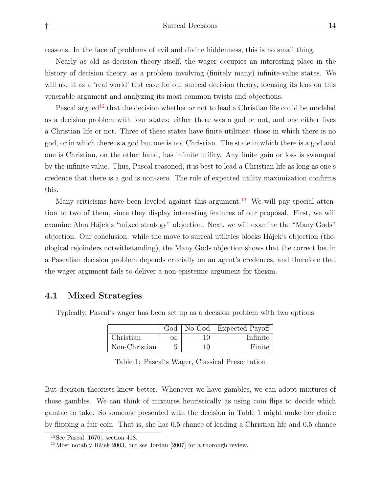reasons. In the face of problems of evil and divine hiddenness, this is no small thing.

Nearly as old as decision theory itself, the wager occupies an interesting place in the history of decision theory, as a problem involving (finitely many) infinite-value states. We will use it as a 'real world' test case for our surreal decision theory, focusing its lens on this venerable argument and analyzing its most common twists and objections.

Pascal argued<sup>[12](#page-0-0)</sup> that the decision whether or not to lead a Christian life could be modeled as a decision problem with four states: either there was a god or not, and one either lives a Christian life or not. Three of these states have finite utilities: those in which there is no god, or in which there is a god but one is not Christian. The state in which there is a god and one is Christian, on the other hand, has infinite utility. Any finite gain or loss is swamped by the infinite value. Thus, Pascal reasoned, it is best to lead a Christian life as long as one's credence that there is a god is non-zero. The rule of expected utility maximization confirms this.

Many criticisms have been leveled against this argument.<sup>[13](#page-0-0)</sup> We will pay special attention to two of them, since they display interesting features of our proposal. First, we will examine Alan Hájek's "mixed strategy" objection. Next, we will examine the "Many Gods" objection. Our conclusion: while the move to surreal utilities blocks H´ajek's objection (theological rejoinders notwithstanding), the Many Gods objection shows that the correct bet in a Pascalian decision problem depends crucially on an agent's credences, and therefore that the wager argument fails to deliver a non-epistemic argument for theism.

### <span id="page-13-0"></span>4.1 Mixed Strategies

Typically, Pascal's wager has been set up as a decision problem with two options.

|               |          | God   No God   Expected Payoff |
|---------------|----------|--------------------------------|
| Christian     | $\infty$ | Infinite                       |
| Non-Christian |          | Finite                         |

Table 1: Pascal's Wager, Classical Presentation

But decision theorists know better. Whenever we have gambles, we can adopt mixtures of those gambles. We can think of mixtures heuristically as using coin flips to decide which gamble to take. So someone presented with the decision in Table 1 might make her choice by flipping a fair coin. That is, she has 0.5 chance of leading a Christian life and 0.5 chance

<sup>&</sup>lt;sup>12</sup>See Pascal [1670], section 418.

 $13$ Most notably Hájek 2003, but see Jordan [2007] for a thorough review.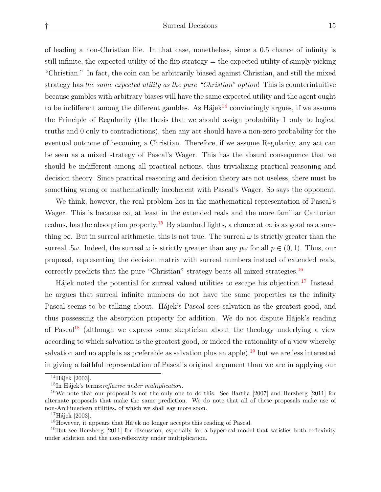of leading a non-Christian life. In that case, nonetheless, since a 0.5 chance of infinity is still infinite, the expected utility of the flip strategy = the expected utility of simply picking "Christian." In fact, the coin can be arbitrarily biased against Christian, and still the mixed strategy has the same expected utility as the pure "Christian" option! This is counterintuitive because gambles with arbitrary biases will have the same expected utility and the agent ought to be indifferent among the different gambles. As  $H\acute{a}$ jek $^{14}$  $^{14}$  $^{14}$  convincingly argues, if we assume the Principle of Regularity (the thesis that we should assign probability 1 only to logical truths and 0 only to contradictions), then any act should have a non-zero probability for the eventual outcome of becoming a Christian. Therefore, if we assume Regularity, any act can be seen as a mixed strategy of Pascal's Wager. This has the absurd consequence that we should be indifferent among all practical actions, thus trivializing practical reasoning and decision theory. Since practical reasoning and decision theory are not useless, there must be something wrong or mathematically incoherent with Pascal's Wager. So says the opponent.

We think, however, the real problem lies in the mathematical representation of Pascal's Wager. This is because  $\infty$ , at least in the extended reals and the more familiar Cantorian realms, has the absorption property.<sup>[15](#page-0-0)</sup> By standard lights, a chance at  $\infty$  is as good as a surething  $\infty$ . But in surreal arithmetic, this is not true. The surreal  $\omega$  is strictly greater than the surreal .5ω. Indeed, the surreal  $\omega$  is strictly greater than any  $p\omega$  for all  $p \in (0,1)$ . Thus, our proposal, representing the decision matrix with surreal numbers instead of extended reals, correctly predicts that the pure "Christian" strategy beats all mixed strategies.<sup>[16](#page-0-0)</sup>

Hájek noted the potential for surreal valued utilities to escape his objection.<sup>[17](#page-0-0)</sup> Instead, he argues that surreal infinite numbers do not have the same properties as the infinity Pascal seems to be talking about. Hajek's Pascal sees salvation as the greatest good, and thus possessing the absorption property for addition. We do not dispute Hajek's reading of Pascal<sup>[18](#page-0-0)</sup> (although we express some skepticism about the theology underlying a view according to which salvation is the greatest good, or indeed the rationality of a view whereby salvation and no apple is as preferable as salvation plus an apple),  $^{19}$  $^{19}$  $^{19}$  but we are less interested in giving a faithful representation of Pascal's original argument than we are in applying our

 $14H$ ájek [2003].

 $^{15}$ In Hájek's terms: reflexive under multiplication.

<sup>&</sup>lt;sup>16</sup>We note that our proposal is not the only one to do this. See Bartha [2007] and Herzberg [2011] for alternate proposals that make the same prediction. We do note that all of these proposals make use of non-Archimedean utilities, of which we shall say more soon.

 $^{17}$ Hájek [2003].

 $18$ However, it appears that Hájek no longer accepts this reading of Pascal.

<sup>19</sup>But see Herzberg [2011] for discussion, especially for a hyperreal model that satisfies both reflexivity under addition and the non-reflexivity under multiplication.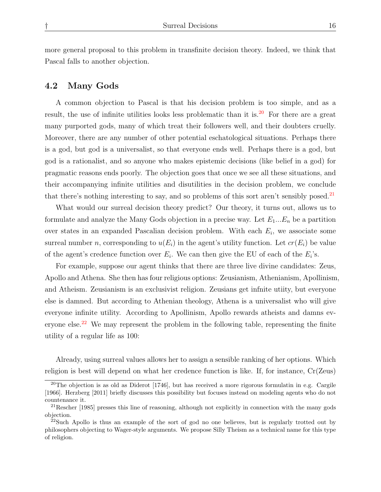more general proposal to this problem in transfinite decision theory. Indeed, we think that Pascal falls to another objection.

### <span id="page-15-0"></span>4.2 Many Gods

A common objection to Pascal is that his decision problem is too simple, and as a result, the use of infinite utilities looks less problematic than it is.<sup>[20](#page-0-0)</sup> For there are a great many purported gods, many of which treat their followers well, and their doubters cruelly. Moreover, there are any number of other potential eschatological situations. Perhaps there is a god, but god is a universalist, so that everyone ends well. Perhaps there is a god, but god is a rationalist, and so anyone who makes epistemic decisions (like belief in a god) for pragmatic reasons ends poorly. The objection goes that once we see all these situations, and their accompanying infinite utilities and disutilities in the decision problem, we conclude that there's nothing interesting to say, and so problems of this sort aren't sensibly posed.<sup>[21](#page-0-0)</sup>

What would our surreal decision theory predict? Our theory, it turns out, allows us to formulate and analyze the Many Gods objection in a precise way. Let  $E_1...E_n$  be a partition over states in an expanded Pascalian decision problem. With each  $E_i$ , we associate some surreal number n, corresponding to  $u(E_i)$  in the agent's utility function. Let  $cr(E_i)$  be value of the agent's credence function over  $E_i$ . We can then give the EU of each of the  $E_i$ 's.

For example, suppose our agent thinks that there are three live divine candidates: Zeus, Apollo and Athena. She then has four religious options: Zeusianism, Athenianism, Apollinism, and Atheism. Zeusianism is an exclusivist religion. Zeusians get infnite utiity, but everyone else is damned. But according to Athenian theology, Athena is a universalist who will give everyone infinite utility. According to Apollinism, Apollo rewards atheists and damns ev-eryone else.<sup>[22](#page-0-0)</sup> We may represent the problem in the following table, representing the finite utility of a regular life as 100:

Already, using surreal values allows her to assign a sensible ranking of her options. Which religion is best will depend on what her credence function is like. If, for instance, Cr(Zeus)

 $20$ The objection is as old as Diderot [1746], but has received a more rigorous formulatin in e.g. Cargile [1966]. Herzberg [2011] briefly discusses this possibility but focuses instead on modeling agents who do not countenance it.

<sup>&</sup>lt;sup>21</sup>Rescher [1985] presses this line of reasoning, although not explicitly in connection with the many gods objection.

 $22$ Such Apollo is thus an example of the sort of god no one believes, but is regularly trotted out by philosophers objecting to Wager-style arguments. We propose Silly Theism as a technical name for this type of religion.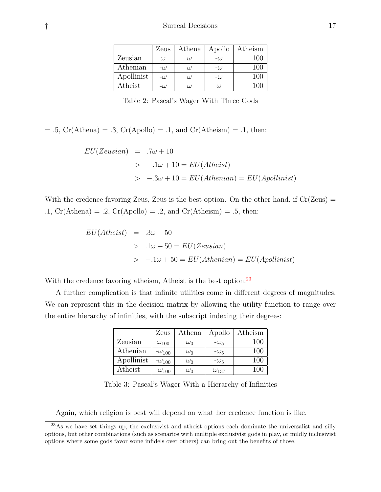|            | Zeus      | Athena | Apollo    | Atheism |
|------------|-----------|--------|-----------|---------|
| Zeusian    | $\omega$  | ω      | $-\omega$ | 100     |
| Athenian   | $-\omega$ | ω      | $-\omega$ | 100     |
| Apollinist | $-\omega$ | ω      | -ω        | 100     |
| Atheist    | -ω        | ω)     | ω         |         |

Table 2: Pascal's Wager With Three Gods

 $= .5, Cr(Athena) = .3, Cr(Apollo) = .1, and Cr(Atheism) = .1, then:$ 

$$
EU(Zeusian) = .7\omega + 10
$$
  
> -.1 $\omega$  + 10 = EU(Atheist)  
> -.3 $\omega$  + 10 = EU(Atherian) = EU(Apollinist)

With the credence favoring Zeus, Zeus is the best option. On the other hand, if  $Cr(Zeus)$  = .1,  $Cr(\text{Athena}) = .2$ ,  $Cr(\text{Apollo}) = .2$ , and  $Cr(\text{Atheism}) = .5$ , then:

$$
EU(Atheist) = .3\omega + 50
$$
  
> .1\omega + 50 = EU(Zeusian)  
> -.1\omega + 50 = EU(Athenian) = EU(Apollinist)

With the credence favoring atheism, Atheist is the best option.<sup>[23](#page-0-0)</sup>

A further complication is that infinite utilities come in different degrees of magnitudes. We can represent this in the decision matrix by allowing the utility function to range over the entire hierarchy of infinities, with the subscript indexing their degrees:

|            | Zeus            | Athena     | Apollo         | Atheism |
|------------|-----------------|------------|----------------|---------|
| Zeusian    | $\omega_{100}$  | $\omega_0$ | $-\omega_5$    | 100     |
| Athenian   | $-\omega_{100}$ | $\omega_0$ | $-\omega_5$    | 100     |
| Apollinist | $-\omega_{100}$ | $\omega_0$ | $-\omega_5$    | 100     |
| Atheist    | $-\omega_{100}$ | $\omega_0$ | $\omega_{137}$ | 100     |

Table 3: Pascal's Wager With a Hierarchy of Infinities

Again, which religion is best will depend on what her credence function is like.

 $^{23}$ As we have set things up, the exclusivist and atheist options each dominate the universalist and silly options, but other combinations (such as scenarios with multiple exclusivist gods in play, or mildly inclusivist options where some gods favor some infidels over others) can bring out the benefits of those.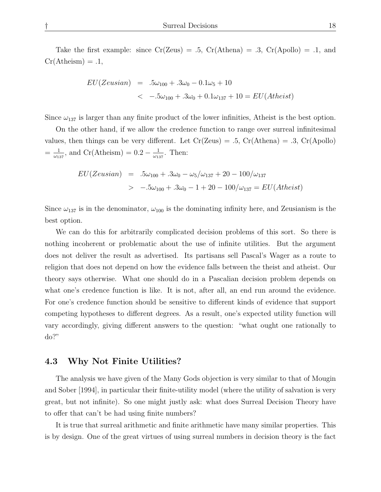Take the first example: since  $Cr(Zeus) = .5$ ,  $Cr(Athena) = .3$ ,  $Cr(Apollo) = .1$ , and  $Cr(Atheism) = .1,$ 

$$
EU(Zeusian) = .5\omega_{100} + .3\omega_0 - 0.1\omega_5 + 10
$$
  
< 
$$
-.5\omega_{100} + .3\omega_0 + 0.1\omega_{137} + 10 = EU(Atheist)
$$

Since  $\omega_{137}$  is larger than any finite product of the lower infinities, Atheist is the best option.

On the other hand, if we allow the credence function to range over surreal infinitesimal values, then things can be very different. Let  $Cr(Zeus) = .5$ ,  $Cr(Athena) = .3$ ,  $Cr(Apollo)$  $=$   $\frac{1}{\omega}$  $\frac{1}{\omega_{137}}$ , and Cr(Atheism) = 0.2 –  $\frac{1}{\omega_{13}}$  $\frac{1}{\omega_{137}}$ . Then:

$$
EU(Zeusian) = .5\omega_{100} + .3\omega_0 - \omega_5/\omega_{137} + 20 - 100/\omega_{137}
$$
  
> -.5\omega\_{100} + .3\omega\_0 - 1 + 20 - 100/\omega\_{137} = EU(Atheist)

Since  $\omega_{137}$  is in the denominator,  $\omega_{100}$  is the dominating infinity here, and Zeusianism is the best option.

We can do this for arbitrarily complicated decision problems of this sort. So there is nothing incoherent or problematic about the use of infinite utilities. But the argument does not deliver the result as advertised. Its partisans sell Pascal's Wager as a route to religion that does not depend on how the evidence falls between the theist and atheist. Our theory says otherwise. What one should do in a Pascalian decision problem depends on what one's credence function is like. It is not, after all, an end run around the evidence. For one's credence function should be sensitive to different kinds of evidence that support competing hypotheses to different degrees. As a result, one's expected utility function will vary accordingly, giving different answers to the question: "what ought one rationally to do?"

### <span id="page-17-0"></span>4.3 Why Not Finite Utilities?

The analysis we have given of the Many Gods objection is very similar to that of Mougin and Sober [1994], in particular their finite-utility model (where the utility of salvation is very great, but not infinite). So one might justly ask: what does Surreal Decision Theory have to offer that can't be had using finite numbers?

It is true that surreal arithmetic and finite arithmetic have many similar properties. This is by design. One of the great virtues of using surreal numbers in decision theory is the fact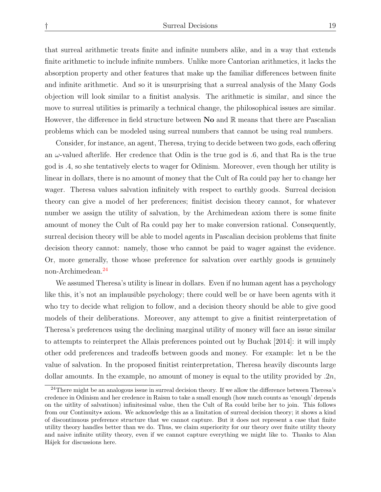that surreal arithmetic treats finite and infinite numbers alike, and in a way that extends finite arithmetic to include infinite numbers. Unlike more Cantorian arithmetics, it lacks the absorption property and other features that make up the familiar differences between finite and infinite arithmetic. And so it is unsurprising that a surreal analysis of the Many Gods objection will look similar to a finitist analysis. The arithmetic is similar, and since the move to surreal utilities is primarily a technical change, the philosophical issues are similar. However, the difference in field structure between  $\bf{No}$  and  $\mathbb R$  means that there are Pascalian problems which can be modeled using surreal numbers that cannot be using real numbers.

Consider, for instance, an agent, Theresa, trying to decide between two gods, each offering an  $\omega$ -valued afterlife. Her credence that Odin is the true god is .6, and that Ra is the true god is .4, so she tentatively elects to wager for Odinism. Moreover, even though her utility is linear in dollars, there is no amount of money that the Cult of Ra could pay her to change her wager. Theresa values salvation infinitely with respect to earthly goods. Surreal decision theory can give a model of her preferences; finitist decision theory cannot, for whatever number we assign the utility of salvation, by the Archimedean axiom there is some finite amount of money the Cult of Ra could pay her to make conversion rational. Consequently, surreal decision theory will be able to model agents in Pascalian decision problems that finite decision theory cannot: namely, those who cannot be paid to wager against the evidence. Or, more generally, those whose preference for salvation over earthly goods is genuinely non-Archimedean.[24](#page-0-0)

We assumed Theresa's utility is linear in dollars. Even if no human agent has a psychology like this, it's not an implausible psychology; there could well be or have been agents with it who try to decide what religion to follow, and a decision theory should be able to give good models of their deliberations. Moreover, any attempt to give a finitist reinterpretation of Theresa's preferences using the declining marginal utility of money will face an issue similar to attempts to reinterpret the Allais preferences pointed out by Buchak [2014]: it will imply other odd preferences and tradeoffs between goods and money. For example: let n be the value of salvation. In the proposed finitist reinterpretation, Theresa heavily discounts large dollar amounts. In the example, no amount of money is equal to the utility provided by  $.2n$ ,

<sup>&</sup>lt;sup>24</sup>There might be an analogous issue in surreal decision theory. If we allow the difference between Theresa's credence in Odinism and her credence in Raism to take a small enough (how much counts as 'enough' depends on the uitlity of salvatiuon) infinitesimal value, then the Cult of Ra could bribe her to join. This follows from our Continuity $\star$  axiom. We acknowledge this as a limitation of surreal decision theory; it shows a kind of discontinuous preference structure that we cannot capture. But it does not represent a case that finite utility theory handles better than we do. Thus, we claim superiority for our theory over finite utility theory and naive infinite utility theory, even if we cannot capture everything we might like to. Thanks to Alan Hájek for discussions here.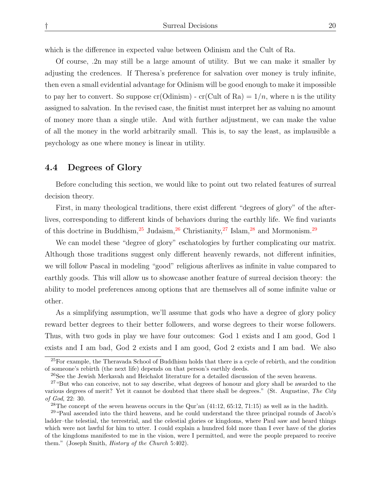which is the difference in expected value between Odinism and the Cult of Ra.

Of course, .2n may still be a large amount of utility. But we can make it smaller by adjusting the credences. If Theresa's preference for salvation over money is truly infinite, then even a small evidential advantage for Odinism will be good enough to make it impossible to pay her to convert. So suppose cr(Odinism) - cr(Cult of Ra) =  $1/n$ , where n is the utility assigned to salvation. In the revised case, the finitist must interpret her as valuing no amount of money more than a single utile. And with further adjustment, we can make the value of all the money in the world arbitrarily small. This is, to say the least, as implausible a psychology as one where money is linear in utility.

### <span id="page-19-0"></span>4.4 Degrees of Glory

Before concluding this section, we would like to point out two related features of surreal decision theory.

First, in many theological traditions, there exist different "degrees of glory" of the afterlives, corresponding to different kinds of behaviors during the earthly life. We find variants of this doctrine in Buddhism,  $25$  Judaism,  $26$  Christianity,  $27$  Islam,  $28$  and Mormonism.  $29$ 

We can model these "degree of glory" eschatologies by further complicating our matrix. Although those traditions suggest only different heavenly rewards, not different infinities, we will follow Pascal in modeling "good" religious afterlives as infinite in value compared to earthly goods. This will allow us to showcase another feature of surreal decision theory: the ability to model preferences among options that are themselves all of some infinite value or other.

As a simplifying assumption, we'll assume that gods who have a degree of glory policy reward better degrees to their better followers, and worse degrees to their worse followers. Thus, with two gods in play we have four outcomes: God 1 exists and I am good, God 1 exists and I am bad, God 2 exists and I am good, God 2 exists and I am bad. We also

<sup>&</sup>lt;sup>25</sup>For example, the Theravada School of Buddhism holds that there is a cycle of rebirth, and the condition of someone's rebirth (the next life) depends on that person's earthly deeds.

<sup>26</sup>See the Jewish Merkavah and Heichalot literature for a detailed discussion of the seven heavens.

<sup>&</sup>lt;sup>27</sup> "But who can conceive, not to say describe, what degrees of honour and glory shall be awarded to the various degrees of merit? Yet it cannot be doubted that there shall be degrees." (St. Augustine, The City of God, 22: 30.

<sup>&</sup>lt;sup>28</sup>The concept of the seven heavens occurs in the Qur'an  $(41:12, 65:12, 71:15)$  as well as in the hadith.

<sup>29</sup>"Paul ascended into the third heavens, and he could understand the three principal rounds of Jacob's ladder–the telestial, the terrestrial, and the celestial glories or kingdoms, where Paul saw and heard things which were not lawful for him to utter. I could explain a hundred fold more than I ever have of the glories of the kingdoms manifested to me in the vision, were I permitted, and were the people prepared to receive them." (Joseph Smith, History of the Church 5:402).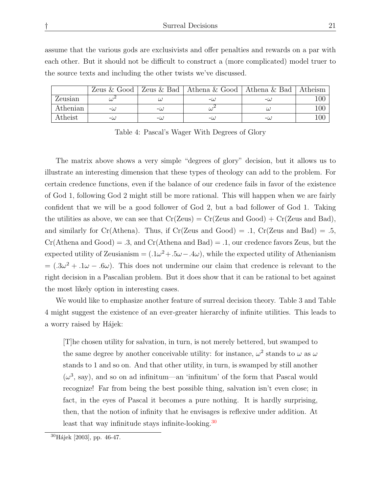assume that the various gods are exclusivists and offer penalties and rewards on a par with

each other. But it should not be difficult to construct a (more complicated) model truer to the source texts and including the other twists we've discussed.

|          | Zeus $&$ Good |           | Zeus & Bad   Athena & Good   Athena & Bad |           | Atheism |
|----------|---------------|-----------|-------------------------------------------|-----------|---------|
| Zeusian  |               | $\omega$  | $-\omega$                                 | $-\omega$ | $100\,$ |
| Athenian | $-\omega$     | -ω        |                                           |           |         |
| Atheist  | $-\omega$     | $-\omega$ | $-\omega$                                 | $-\omega$ |         |

Table 4: Pascal's Wager With Degrees of Glory

The matrix above shows a very simple "degrees of glory" decision, but it allows us to illustrate an interesting dimension that these types of theology can add to the problem. For certain credence functions, even if the balance of our credence fails in favor of the existence of God 1, following God 2 might still be more rational. This will happen when we are fairly confident that we will be a good follower of God 2, but a bad follower of God 1. Taking the utilities as above, we can see that  $Cr(Zeus) = Cr(Zeus \text{ and } Good) + Cr(Zeus \text{ and } Bad),$ and similarly for Cr(Athena). Thus, if Cr(Zeus and Good) = .1, Cr(Zeus and Bad) = .5,  $Cr(Athena and Good) = .3$ , and  $Cr(Athena and Bad) = .1$ , our credence favors Zeus, but the expected utility of Zeusianism =  $(.1\omega^2 + .5\omega - .4\omega)$ , while the expected utility of Athenianism  $= (0.3\omega^2 + 0.1\omega - 0.6\omega)$ . This does not undermine our claim that credence is relevant to the right decision in a Pascalian problem. But it does show that it can be rational to bet against the most likely option in interesting cases.

We would like to emphasize another feature of surreal decision theory. Table 3 and Table 4 might suggest the existence of an ever-greater hierarchy of infinite utilities. This leads to a worry raised by Hájek:

[T]he chosen utility for salvation, in turn, is not merely bettered, but swamped to the same degree by another conceivable utility: for instance,  $\omega^2$  stands to  $\omega$  as  $\omega$ stands to 1 and so on. And that other utility, in turn, is swamped by still another  $(\omega^3, \text{ say})$ , and so on ad infinitum—an 'infinitum' of the form that Pascal would recognize! Far from being the best possible thing, salvation isn't even close; in fact, in the eyes of Pascal it becomes a pure nothing. It is hardly surprising, then, that the notion of infinity that he envisages is reflexive under addition. At least that way infinitude stays infinite-looking.<sup>[30](#page-0-0)</sup>

 $30H$ ájek [2003], pp. 46-47.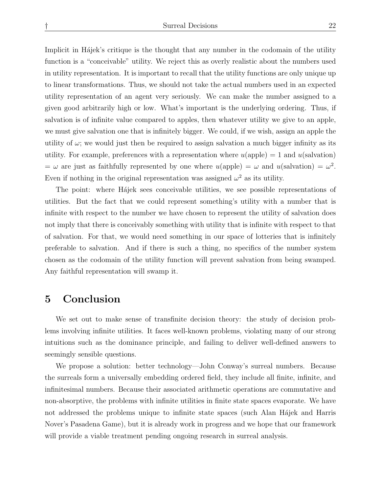Implicit in Hajek's critique is the thought that any number in the codomain of the utility function is a "conceivable" utility. We reject this as overly realistic about the numbers used in utility representation. It is important to recall that the utility functions are only unique up to linear transformations. Thus, we should not take the actual numbers used in an expected utility representation of an agent very seriously. We can make the number assigned to a given good arbitrarily high or low. What's important is the underlying ordering. Thus, if salvation is of infinite value compared to apples, then whatever utility we give to an apple, we must give salvation one that is infinitely bigger. We could, if we wish, assign an apple the utility of  $\omega$ ; we would just then be required to assign salvation a much bigger infinity as its utility. For example, preferences with a representation where  $u(\text{apple}) = 1$  and  $u(\text{salvation})$  $=\omega$  are just as faithfully represented by one where  $u(\text{apple}) = \omega$  and  $u(\text{salvation}) = \omega^2$ . Even if nothing in the original representation was assigned  $\omega^2$  as its utility.

The point: where H<sub>a</sub>jek sees conceivable utilities, we see possible representations of utilities. But the fact that we could represent something's utility with a number that is infinite with respect to the number we have chosen to represent the utility of salvation does not imply that there is conceivably something with utility that is infinite with respect to that of salvation. For that, we would need something in our space of lotteries that is infinitely preferable to salvation. And if there is such a thing, no specifics of the number system chosen as the codomain of the utility function will prevent salvation from being swamped. Any faithful representation will swamp it.

# <span id="page-21-0"></span>5 Conclusion

We set out to make sense of transfinite decision theory: the study of decision problems involving infinite utilities. It faces well-known problems, violating many of our strong intuitions such as the dominance principle, and failing to deliver well-defined answers to seemingly sensible questions.

We propose a solution: better technology—John Conway's surreal numbers. Because the surreals form a universally embedding ordered field, they include all finite, infinite, and infinitesimal numbers. Because their associated arithmetic operations are commutative and non-absorptive, the problems with infinite utilities in finite state spaces evaporate. We have not addressed the problems unique to infinite state spaces (such Alan Hajek and Harris Nover's Pasadena Game), but it is already work in progress and we hope that our framework will provide a viable treatment pending ongoing research in surreal analysis.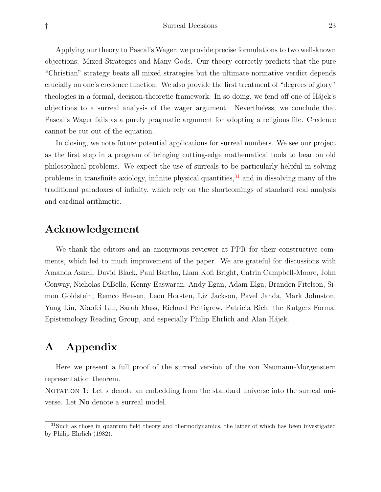Applying our theory to Pascal's Wager, we provide precise formulations to two well-known objections: Mixed Strategies and Many Gods. Our theory correctly predicts that the pure "Christian" strategy beats all mixed strategies but the ultimate normative verdict depends crucially on one's credence function. We also provide the first treatment of "degrees of glory" theologies in a formal, decision-theoretic framework. In so doing, we fend off one of Hajek's objections to a surreal analysis of the wager argument. Nevertheless, we conclude that Pascal's Wager fails as a purely pragmatic argument for adopting a religious life. Credence cannot be cut out of the equation.

In closing, we note future potential applications for surreal numbers. We see our project as the first step in a program of bringing cutting-edge mathematical tools to bear on old philosophical problems. We expect the use of surreals to be particularly helpful in solving problems in transfinite axiology, infinite physical quantities,  $31$  and in dissolving many of the traditional paradoxes of infinity, which rely on the shortcomings of standard real analysis and cardinal arithmetic.

# Acknowledgement

We thank the editors and an anonymous reviewer at PPR for their constructive comments, which led to much improvement of the paper. We are grateful for discussions with Amanda Askell, David Black, Paul Bartha, Liam Kofi Bright, Catrin Campbell-Moore, John Conway, Nicholas DiBella, Kenny Easwaran, Andy Egan, Adam Elga, Branden Fitelson, Simon Goldstein, Remco Heesen, Leon Horsten, Liz Jackson, Pavel Janda, Mark Johnston, Yang Liu, Xiaofei Liu, Sarah Moss, Richard Pettigrew, Patricia Rich, the Rutgers Formal Epistemology Reading Group, and especially Philip Ehrlich and Alan Hajek.

# <span id="page-22-0"></span>A Appendix

Here we present a full proof of the surreal version of the von Neumann-Morgenstern representation theorem.

NOTATION 1: Let  $\star$  denote an embedding from the standard universe into the surreal universe. Let No denote a surreal model.

<sup>&</sup>lt;sup>31</sup>Such as those in quantum field theory and thermodynamics, the latter of which has been investigated by Philip Ehrlich (1982).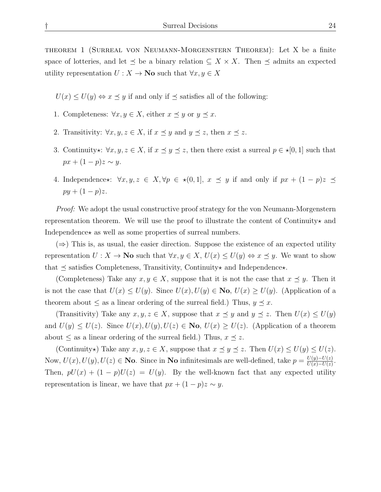theorem 1 (Surreal von Neumann-Morgenstern Theorem): Let X be a finite space of lotteries, and let  $\preceq$  be a binary relation  $\subseteq X \times X$ . Then  $\preceq$  admits an expected utility representation  $U : X \to \mathbf{No}$  such that  $\forall x, y \in X$ 

- $U(x) \le U(y) \Leftrightarrow x \le y$  if and only if  $\preceq$  satisfies all of the following:
- 1. Completeness:  $\forall x, y \in X$ , either  $x \preceq y$  or  $y \preceq x$ .
- 2. Transitivity:  $\forall x, y, z \in X$ , if  $x \preceq y$  and  $y \preceq z$ , then  $x \preceq z$ .
- 3. Continuity $\star: \forall x, y, z \in X$ , if  $x \leq y \leq z$ , then there exist a surreal  $p \in \star[0,1]$  such that  $px + (1-p)z \sim y.$
- 4. Independence\*:  $\forall x, y, z \in X, \forall p \in \star (0,1], x \preceq y$  if and only if  $px + (1 p)z \preceq z$  $py + (1 - p)z$ .

Proof: We adopt the usual constructive proof strategy for the von Neumann-Morgenstern representation theorem. We will use the proof to illustrate the content of Continuity $\star$  and Independence $\star$  as well as some properties of surreal numbers.

 $(\Rightarrow)$  This is, as usual, the easier direction. Suppose the existence of an expected utility representation  $U: X \to \mathbb{N}$ o such that  $\forall x, y \in X, U(x) \leq U(y) \Leftrightarrow x \preceq y$ . We want to show that  $\preceq$  satisfies Completeness, Transitivity, Continuity and Independence.

(Completeness) Take any  $x, y \in X$ , suppose that it is not the case that  $x \preceq y$ . Then it is not the case that  $U(x) \le U(y)$ . Since  $U(x), U(y) \in \mathbf{No}, U(x) \ge U(y)$ . (Application of a theorem about  $\leq$  as a linear ordering of the surreal field.) Thus,  $y \leq x$ .

(Transitivity) Take any  $x, y, z \in X$ , suppose that  $x \preceq y$  and  $y \preceq z$ . Then  $U(x) \leq U(y)$ and  $U(y) \le U(z)$ . Since  $U(x)$ ,  $U(y)$ ,  $U(z) \in \mathbf{No}$ ,  $U(x) \ge U(z)$ . (Application of a theorem about  $\leq$  as a linear ordering of the surreal field.) Thus,  $x \leq z$ .

(Continuity $\star$ ) Take any  $x, y, z \in X$ , suppose that  $x \preceq y \preceq z$ . Then  $U(x) \leq U(y) \leq U(z)$ . Now,  $U(x)$ ,  $U(y)$ ,  $U(z) \in \mathbf{No}$ . Since in No infinitesimals are well-defined, take  $p = \frac{U(y) - U(z)}{U(x) - U(z)}$  $\frac{U(y)-U(z)}{U(x)-U(z)}$ . Then,  $pU(x) + (1 - p)U(z) = U(y)$ . By the well-known fact that any expected utility representation is linear, we have that  $px + (1 - p)z \sim y$ .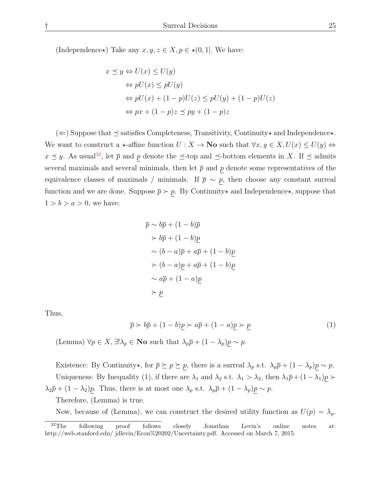(Independence $\star$ ) Take any  $x, y, z \in X, p \in \star(0, 1]$ . We have:

$$
x \preceq y \Leftrightarrow U(x) \le U(y)
$$
  
\n
$$
\Leftrightarrow pU(x) \le pU(y)
$$
  
\n
$$
\Leftrightarrow pU(x) + (1 - p)U(z) \le pU(y) + (1 - p)U(z)
$$
  
\n
$$
\Leftrightarrow px + (1 - p)z \preceq py + (1 - p)z
$$

 $(\Leftarrow)$  Suppose that  $\preceq$  satisfies Completeness, Transitivity, Continuity and Independence. We want to construct a  $\star$ -affine function  $U : X \to \mathbb{N}$ o such that  $\forall x, y \in X, U(x) \leq U(y) \Leftrightarrow$  $x \preceq y$ . As usual<sup>[32](#page-0-0)</sup>, let  $\overline{p}$  and  $\underline{p}$  denote the  $\preceq$ -top and  $\preceq$ -bottom elements in X. If  $\preceq$  admits several maximals and several minimals, then let  $\bar{p}$  and  $p$  denote some representatives of the equivalence classes of maximals / minimals. If  $\bar{p} \sim p$ , then choose any constant surreal function and we are done. Suppose  $\bar{p} \succ p$ . By Continuity and Independence is, suppose that  $1 > b > a > 0$ , we have:

$$
\overline{p} \sim b\overline{p} + (1 - b)\overline{p}
$$
\n
$$
\succ b\overline{p} + (1 - b)\underline{p}
$$
\n
$$
\sim (b - a)\overline{p} + a\overline{p} + (1 - b)\underline{p}
$$
\n
$$
\succ (b - a)\underline{p} + a\overline{p} + (1 - b)\underline{p}
$$
\n
$$
\sim a\overline{p} + (1 - a)\underline{p}
$$
\n
$$
\succ \underline{p}
$$

Thus,

$$
\overline{p} \succ b\overline{p} + (1 - b)\underline{p} \succ a\overline{p} + (1 - a)\underline{p} \succ \underline{p} \tag{1}
$$

(Lemma)  $\forall p \in X, \exists! \lambda_p \in \mathbf{No} \text{ such that } \lambda_p \overline{p} + (1 - \lambda_p) p \sim p.$ 

Existence: By Continuity $\star$ , for  $\bar{p} \succeq p \succeq \bar{p}$ , there is a surreal  $\lambda_p$  s.t.  $\lambda_p \bar{p} + (1 - \lambda_p) \underline{p} \sim p$ . Uniqueness: By Inequality (1), if there are  $\lambda_1$  and  $\lambda_2$  s.t.  $\lambda_1 > \lambda_2$ , then  $\lambda_1 \overline{p} + (1-\lambda_1)\underline{p}$  $\lambda_2 \bar{p} + (1 - \lambda_2)p$ . Thus, there is at most one  $\lambda_p$  s.t.  $\lambda_p \bar{p} + (1 - \lambda_p)p \sim p$ .

Therefore, (Lemma) is true.

Now, because of (Lemma), we can construct the desired utility function as  $U(p) = \lambda_p$ .

<sup>&</sup>lt;sup>32</sup>The following proof follows closely Jonathan Levin's online notes at: http://web.stanford.edu/ jdlevin/Econ%20202/Uncertainty.pdf. Accessed on March 7, 2015.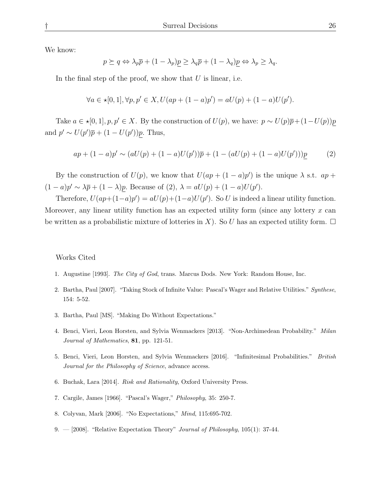We know:

$$
p \succeq q \Leftrightarrow \lambda_p \overline{p} + (1 - \lambda_p) \underline{p} \ge \lambda_q \overline{p} + (1 - \lambda_q) \underline{p} \Leftrightarrow \lambda_p \ge \lambda_q.
$$

In the final step of the proof, we show that  $U$  is linear, i.e.

$$
\forall a \in \star[0,1], \forall p, p' \in X, U(ap + (1-a)p') = aU(p) + (1-a)U(p').
$$

Take  $a \in \star[0,1], p, p' \in X$ . By the construction of  $U(p)$ , we have:  $p \sim U(p)\overline{p} + (1-U(p))p$ and  $p' \sim U(p')\overline{p} + (1 - U(p'))\underline{p}$ . Thus,

$$
ap + (1 - a)p' \sim (aU(p) + (1 - a)U(p'))\overline{p} + (1 - (aU(p) + (1 - a)U(p')))\underline{p}
$$
 (2)

By the construction of  $U(p)$ , we know that  $U(ap + (1 - a)p')$  is the unique  $\lambda$  s.t.  $ap +$  $(1-a)p' \sim \lambda \bar{p} + (1-\lambda)\underline{p}$ . Because of (2),  $\lambda = aU(p) + (1-a)U(p')$ .

Therefore,  $U(ap+(1-a)p') = aU(p)+(1-a)U(p')$ . So U is indeed a linear utility function. Moreover, any linear utility function has an expected utility form (since any lottery  $x$  can be written as a probabilistic mixture of lotteries in X). So U has an expected utility form.  $\Box$ 

#### Works Cited

- 1. Augustine [1993]. The City of God, trans. Marcus Dods. New York: Random House, Inc.
- 2. Bartha, Paul [2007]. "Taking Stock of Infinite Value: Pascal's Wager and Relative Utilities." Synthese, 154: 5-52.
- 3. Bartha, Paul [MS]. "Making Do Without Expectations."
- 4. Benci, Vieri, Leon Horsten, and Sylvia Wenmackers [2013]. "Non-Archimedean Probability." Milan Journal of Mathematics, 81, pp. 121-51.
- 5. Benci, Vieri, Leon Horsten, and Sylvia Wenmackers [2016]. "Infinitesimal Probabilities." British Journal for the Philosophy of Science, advance access.
- 6. Buchak, Lara [2014]. Risk and Rationality, Oxford University Press.
- 7. Cargile, James [1966]. "Pascal's Wager," Philosophy, 35: 250-7.
- 8. Colyvan, Mark [2006]. "No Expectations," Mind, 115:695-702.
- 9.  $[2008]$ . "Relative Expectation Theory" Journal of Philosophy, 105(1): 37-44.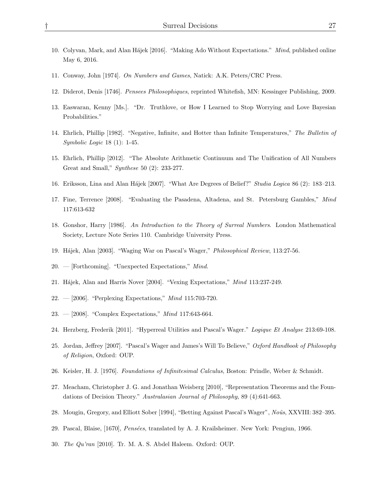- 10. Colyvan, Mark, and Alan Hájek [2016]. "Making Ado Without Expectations." Mind, published online May 6, 2016.
- 11. Conway, John [1974]. On Numbers and Games, Natick: A.K. Peters/CRC Press.
- 12. Diderot, Denis [1746]. Pensees Philosophiques, reprinted Whitefish, MN: Kessinger Publishing, 2009.
- 13. Easwaran, Kenny [Ms.]. "Dr. Truthlove, or How I Learned to Stop Worrying and Love Bayesian Probabilities."
- 14. Ehrlich, Phillip [1982]. "Negative, Infinite, and Hotter than Infinite Temperatures," The Bulletin of Symbolic Logic 18 (1): 1-45.
- 15. Ehrlich, Phillip [2012]. "The Absolute Arithmetic Continuum and The Unification of All Numbers Great and Small," Synthese 50 (2): 233-277.
- 16. Eriksson, Lina and Alan Hájek [2007]. "What Are Degrees of Belief?" Studia Logica 86 (2): 183-213.
- 17. Fine, Terrence [2008]. "Evaluating the Pasadena, Altadena, and St. Petersburg Gambles," Mind 117:613-632
- 18. Gonshor, Harry [1986]. An Introduction to the Theory of Surreal Numbers. London Mathematical Society, Lecture Note Series 110. Cambridge University Press.
- 19. H´ajek, Alan [2003]. "Waging War on Pascal's Wager," Philosophical Review, 113:27-56.
- 20. [Forthcoming]. "Unexpected Expectations," Mind.
- 21. H´ajek, Alan and Harris Nover [2004]. "Vexing Expectations," Mind 113:237-249.
- 22. [2006]. "Perplexing Expectations," Mind 115:703-720.
- 23. [2008]. "Complex Expectations," Mind 117:643-664.
- 24. Herzberg, Frederik [2011]. "Hyperreal Utilities and Pascal's Wager." Logique Et Analyse 213:69-108.
- 25. Jordan, Jeffrey [2007]. "Pascal's Wager and James's Will To Believe," Oxford Handbook of Philosophy of Religion, Oxford: OUP.
- 26. Keisler, H. J. [1976]. Foundations of Infinitesimal Calculus, Boston: Prindle, Weber & Schmidt.
- 27. Meacham, Christopher J. G. and Jonathan Weisberg [2010], "Representation Theorems and the Foundations of Decision Theory." Australasian Journal of Philosophy, 89 (4):641-663.
- 28. Mougin, Gregory, and Elliott Sober [1994], "Betting Against Pascal's Wager", Noûs, XXVIII: 382–395.
- 29. Pascal, Blaise, [1670], Pensées, translated by A. J. Krailsheimer. New York: Pengiun, 1966.
- 30. The Qu'ran [2010]. Tr. M. A. S. Abdel Haleem. Oxford: OUP.